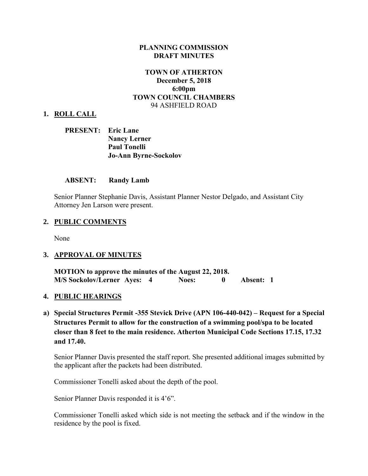### **PLANNING COMMISSION DRAFT MINUTES**

## **TOWN OF ATHERTON December 5, 2018 6:00pm TOWN COUNCIL CHAMBERS** 94 ASHFIELD ROAD

### **1. ROLL CALL**

| <b>PRESENT:</b> Eric Lane |                              |
|---------------------------|------------------------------|
|                           | <b>Nancy Lerner</b>          |
|                           | <b>Paul Tonelli</b>          |
|                           | <b>Jo-Ann Byrne-Sockolov</b> |

#### **ABSENT: Randy Lamb**

Senior Planner Stephanie Davis, Assistant Planner Nestor Delgado, and Assistant City Attorney Jen Larson were present.

### **2. PUBLIC COMMENTS**

None

### **3. APPROVAL OF MINUTES**

**MOTION to approve the minutes of the August 22, 2018. M/S Sockolov/Lerner Ayes: 4 Noes: 0 Absent: 1** 

#### **4. PUBLIC HEARINGS**

**a) Special Structures Permit -355 Stevick Drive (APN 106-440-042) – Request for a Special Structures Permit to allow for the construction of a swimming pool/spa to be located closer than 8 feet to the main residence. Atherton Municipal Code Sections 17.15, 17.32 and 17.40.** 

Senior Planner Davis presented the staff report. She presented additional images submitted by the applicant after the packets had been distributed.

Commissioner Tonelli asked about the depth of the pool.

Senior Planner Davis responded it is 4'6".

Commissioner Tonelli asked which side is not meeting the setback and if the window in the residence by the pool is fixed.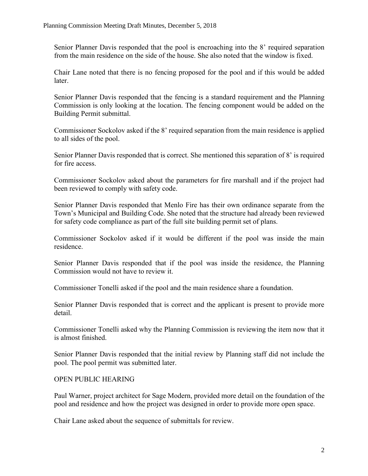Senior Planner Davis responded that the pool is encroaching into the 8' required separation from the main residence on the side of the house. She also noted that the window is fixed.

Chair Lane noted that there is no fencing proposed for the pool and if this would be added later.

Senior Planner Davis responded that the fencing is a standard requirement and the Planning Commission is only looking at the location. The fencing component would be added on the Building Permit submittal.

Commissioner Sockolov asked if the 8' required separation from the main residence is applied to all sides of the pool.

Senior Planner Davis responded that is correct. She mentioned this separation of 8' is required for fire access.

Commissioner Sockolov asked about the parameters for fire marshall and if the project had been reviewed to comply with safety code.

Senior Planner Davis responded that Menlo Fire has their own ordinance separate from the Town's Municipal and Building Code. She noted that the structure had already been reviewed for safety code compliance as part of the full site building permit set of plans.

Commissioner Sockolov asked if it would be different if the pool was inside the main residence.

Senior Planner Davis responded that if the pool was inside the residence, the Planning Commission would not have to review it.

Commissioner Tonelli asked if the pool and the main residence share a foundation.

Senior Planner Davis responded that is correct and the applicant is present to provide more detail.

Commissioner Tonelli asked why the Planning Commission is reviewing the item now that it is almost finished.

Senior Planner Davis responded that the initial review by Planning staff did not include the pool. The pool permit was submitted later.

# OPEN PUBLIC HEARING

Paul Warner, project architect for Sage Modern, provided more detail on the foundation of the pool and residence and how the project was designed in order to provide more open space.

Chair Lane asked about the sequence of submittals for review.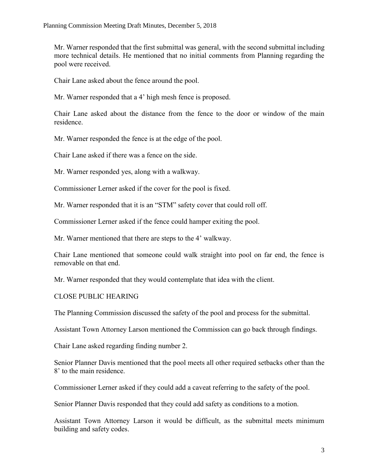Mr. Warner responded that the first submittal was general, with the second submittal including more technical details. He mentioned that no initial comments from Planning regarding the pool were received.

Chair Lane asked about the fence around the pool.

Mr. Warner responded that a 4' high mesh fence is proposed.

Chair Lane asked about the distance from the fence to the door or window of the main residence.

Mr. Warner responded the fence is at the edge of the pool.

Chair Lane asked if there was a fence on the side.

Mr. Warner responded yes, along with a walkway.

Commissioner Lerner asked if the cover for the pool is fixed.

Mr. Warner responded that it is an "STM" safety cover that could roll off.

Commissioner Lerner asked if the fence could hamper exiting the pool.

Mr. Warner mentioned that there are steps to the 4' walkway.

Chair Lane mentioned that someone could walk straight into pool on far end, the fence is removable on that end.

Mr. Warner responded that they would contemplate that idea with the client.

CLOSE PUBLIC HEARING

The Planning Commission discussed the safety of the pool and process for the submittal.

Assistant Town Attorney Larson mentioned the Commission can go back through findings.

Chair Lane asked regarding finding number 2.

Senior Planner Davis mentioned that the pool meets all other required setbacks other than the 8' to the main residence.

Commissioner Lerner asked if they could add a caveat referring to the safety of the pool.

Senior Planner Davis responded that they could add safety as conditions to a motion.

Assistant Town Attorney Larson it would be difficult, as the submittal meets minimum building and safety codes.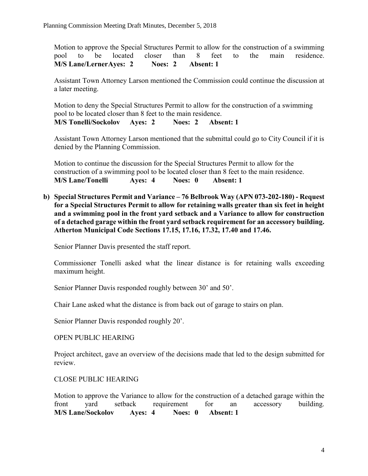Motion to approve the Special Structures Permit to allow for the construction of a swimming pool to be located closer than 8 feet to the main residence. **M/S Lane/LernerAyes: 2 Noes: 2 Absent: 1** 

Assistant Town Attorney Larson mentioned the Commission could continue the discussion at a later meeting.

Motion to deny the Special Structures Permit to allow for the construction of a swimming pool to be located closer than 8 feet to the main residence. **M/S Tonelli/Sockolov Ayes: 2 Noes: 2 Absent: 1**

Assistant Town Attorney Larson mentioned that the submittal could go to City Council if it is denied by the Planning Commission.

Motion to continue the discussion for the Special Structures Permit to allow for the construction of a swimming pool to be located closer than 8 feet to the main residence. **M/S Lane/Tonelli Ayes: 4 Noes: 0 Absent: 1**

**b) Special Structures Permit and Variance – 76 Belbrook Way (APN 073-202-180) - Request for a Special Structures Permit to allow for retaining walls greater than six feet in height and a swimming pool in the front yard setback and a Variance to allow for construction of a detached garage within the front yard setback requirement for an accessory building. Atherton Municipal Code Sections 17.15, 17.16, 17.32, 17.40 and 17.46.**

Senior Planner Davis presented the staff report.

Commissioner Tonelli asked what the linear distance is for retaining walls exceeding maximum height.

Senior Planner Davis responded roughly between 30' and 50'.

Chair Lane asked what the distance is from back out of garage to stairs on plan.

Senior Planner Davis responded roughly 20'.

OPEN PUBLIC HEARING

Project architect, gave an overview of the decisions made that led to the design submitted for review.

### CLOSE PUBLIC HEARING

Motion to approve the Variance to allow for the construction of a detached garage within the front yard setback requirement for an accessory building. **M/S Lane/Sockolov Ayes: 4 Noes: 0 Absent: 1**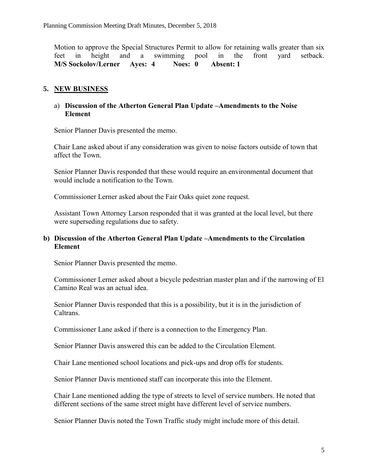Motion to approve the Special Structures Permit to allow for retaining walls greater than six feet in height and a swimming pool in the front yard setback. **M/S Sockolov/Lerner Ayes: 4 Noes: 0 Absent: 1** 

# **5. NEW BUSINESS**

## a) **Discussion of the Atherton General Plan Update –Amendments to the Noise Element**

Senior Planner Davis presented the memo.

Chair Lane asked about if any consideration was given to noise factors outside of town that affect the Town.

Senior Planner Davis responded that these would require an environmental document that would include a notification to the Town.

Commissioner Lerner asked about the Fair Oaks quiet zone request.

Assistant Town Attorney Larson responded that it was granted at the local level, but there were superseding regulations due to safety.

## **b) Discussion of the Atherton General Plan Update –Amendments to the Circulation Element**

Senior Planner Davis presented the memo.

Commissioner Lerner asked about a bicycle pedestrian master plan and if the narrowing of El Camino Real was an actual idea.

Senior Planner Davis responded that this is a possibility, but it is in the jurisdiction of **Caltrans** 

Commissioner Lane asked if there is a connection to the Emergency Plan.

Senior Planner Davis answered this can be added to the Circulation Element.

Chair Lane mentioned school locations and pick-ups and drop offs for students.

Senior Planner Davis mentioned staff can incorporate this into the Element.

Chair Lane mentioned adding the type of streets to level of service numbers. He noted that different sections of the same street might have different level of service numbers.

Senior Planner Davis noted the Town Traffic study might include more of this detail.